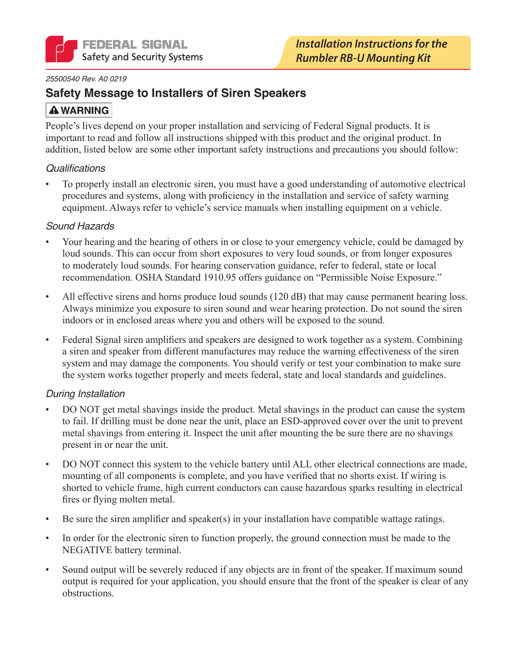

#### 25500540 Rev. A0 0219

## **Safety Message to Installers of Siren Speakers**

## **A WARNING**

People's lives depend on your proper installation and servicing of Federal Signal products. It is important to read and follow all instructions shipped with this product and the original product. In addition, listed below are some other important safety instructions and precautions you should follow:

### **Qualifications**

To properly install an electronic siren, you must have a good understanding of automotive electrical procedures and systems, along with proficiency in the installation and service of safety warning equipment. Always refer to vehicle's service manuals when installing equipment on a vehicle.

### **Sound Hazards**

- Your hearing and the hearing of others in or close to your emergency vehicle, could be damaged by loud sounds. This can occur from short exposures to very loud sounds, or from longer exposures to moderately loud sounds. For hearing conservation guidance, refer to federal, state or local recommendation. OSHA Standard 1910.95 offers guidance on "Permissible Noise Exposure."
- All effective sirens and horns produce loud sounds (120 dB) that may cause permanent hearing loss.  $\bullet$ Always minimize you exposure to siren sound and wear hearing protection. Do not sound the siren indoors or in enclosed areas where you and others will be exposed to the sound.
- Federal Signal siren amplifiers and speakers are designed to work together as a system. Combining a siren and speaker from different manufactures may reduce the warning effectiveness of the siren system and may damage the components. You should verify or test your combination to make sure the system works together properly and meets federal, state and local standards and guidelines.

## **During Installation**

- DO NOT get metal shavings inside the product. Metal shavings in the product can cause the system to fail. If drilling must be done near the unit, place an ESD-approved cover over the unit to prevent metal shavings from entering it. Inspect the unit after mounting the be sure there are no shavings present in or near the unit.
- DO NOT connect this system to the vehicle battery until ALL other electrical connections are made, mounting of all components is complete, and you have verified that no shorts exist. If wiring is shorted to vehicle frame, high current conductors can cause hazardous sparks resulting in electrical fires or flying molten metal.
- Be sure the siren amplifier and speaker(s) in your installation have compatible wattage ratings.  $\bullet$
- In order for the electronic siren to function properly, the ground connection must be made to the NEGATIVE battery terminal.
- Sound output will be severely reduced if any objects are in front of the speaker. If maximum sound output is required for your application, you should ensure that the front of the speaker is clear of any obstructions.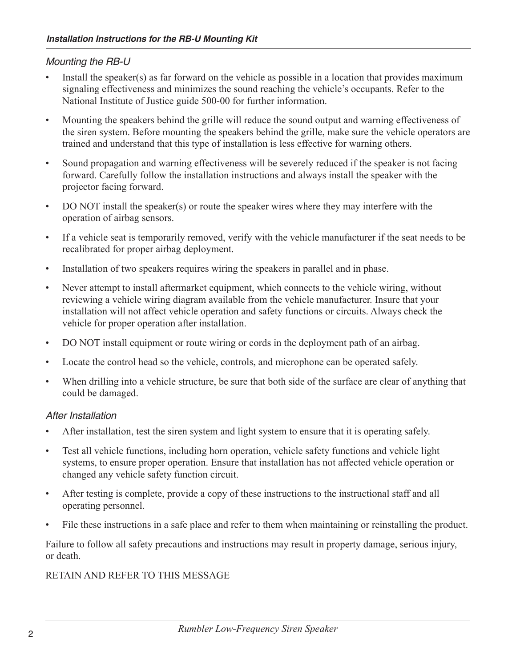## Mounting the RB-U

- Install the speaker(s) as far forward on the vehicle as possible in a location that provides maximum signaling effectiveness and minimizes the sound reaching the vehicle's occupants. Refer to the National Institute of Justice guide 500-00 for further information.
- Mounting the speakers behind the grille will reduce the sound output and warning effectiveness of  $\bullet$ the siren system. Before mounting the speakers behind the grille, make sure the vehicle operators are trained and understand that this type of installation is less effective for warning others.
- Sound propagation and warning effectiveness will be severely reduced if the speaker is not facing  $\bullet$ forward. Carefully follow the installation instructions and always install the speaker with the projector facing forward.
- DO NOT install the speaker(s) or route the speaker wires where they may interfere with the  $\bullet$ operation of airbag sensors.
- If a vehicle seat is temporarily removed, verify with the vehicle manufacturer if the seat needs to be  $\bullet$ recalibrated for proper airbag deployment.
- Installation of two speakers requires wiring the speakers in parallel and in phase.  $\bullet$
- Never attempt to install aftermarket equipment, which connects to the vehicle wiring, without reviewing a vehicle wiring diagram available from the vehicle manufacturer. Insure that your installation will not affect vehicle operation and safety functions or circuits. Always check the vehicle for proper operation after installation.
- DO NOT install equipment or route wiring or cords in the deployment path of an airbag.  $\bullet$
- Locate the control head so the vehicle, controls, and microphone can be operated safely.  $\bullet$
- When drilling into a vehicle structure, be sure that both side of the surface are clear of anything that could be damaged.

#### After Installation

- After installation, test the siren system and light system to ensure that it is operating safely.
- Test all vehicle functions, including horn operation, vehicle safety functions and vehicle light  $\bullet$ systems, to ensure proper operation. Ensure that installation has not affected vehicle operation or changed any vehicle safety function circuit.
- After testing is complete, provide a copy of these instructions to the instructional staff and all operating personnel.
- File these instructions in a safe place and refer to them when maintaining or reinstalling the product.

Failure to follow all safety precautions and instructions may result in property damage, serious injury, or death.

## RETAIN AND REFER TO THIS MESSAGE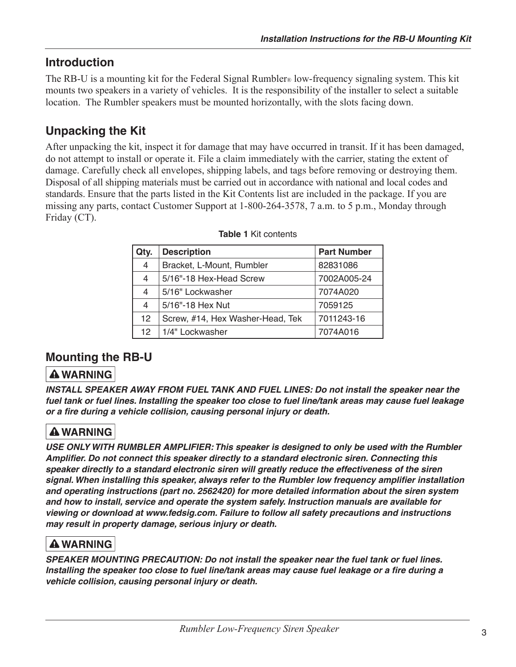# **Introduction**

The RB-U is a mounting kit for the Federal Signal Rumbler® low-frequency signaling system. This kit mounts two speakers in a variety of vehicles. It is the responsibility of the installer to select a suitable location. The Rumbler speakers must be mounted horizontally, with the slots facing down.

# **Unpacking the Kit**

After unpacking the kit, inspect it for damage that may have occurred in transit. If it has been damaged, do not attempt to install or operate it. File a claim immediately with the carrier, stating the extent of damage. Carefully check all envelopes, shipping labels, and tags before removing or destroying them. Disposal of all shipping materials must be carried out in accordance with national and local codes and standards. Ensure that the parts listed in the Kit Contents list are included in the package. If you are missing any parts, contact Customer Support at 1-800-264-3578, 7 a.m. to 5 p.m., Monday through Friday (CT).

| Qty.            | <b>Description</b>               | <b>Part Number</b> |
|-----------------|----------------------------------|--------------------|
| 4               | Bracket, L-Mount, Rumbler        | 82831086           |
| 4               | 5/16"-18 Hex-Head Screw          | 7002A005-24        |
| 4               | 5/16" Lockwasher                 | 7074A020           |
| 4               | 5/16"-18 Hex Nut                 | 7059125            |
| 12 <sup>2</sup> | Screw, #14, Hex Washer-Head, Tek | 7011243-16         |
| 12              | 1/4" Lockwasher                  | 7074A016           |

|  | <b>Table 1 Kit contents</b> |
|--|-----------------------------|
|  |                             |

# **Mounting the RB-U**

# **A WARNING**

INSTALL SPEAKER AWAY FROM FUEL TANK AND FUEL LINES: Do not install the speaker near the fuel tank or fuel lines. Installing the speaker too close to fuel line/tank areas may cause fuel leakage or a fire during a vehicle collision, causing personal injury or death.

# **A WARNING**

USE ONLY WITH RUMBLER AMPLIFIER: This speaker is designed to only be used with the Rumbler Amplifier. Do not connect this speaker directly to a standard electronic siren. Connecting this speaker directly to a standard electronic siren will greatly reduce the effectiveness of the siren signal. When installing this speaker, always refer to the Rumbler low frequency amplifier installation and operating instructions (part no. 2562420) for more detailed information about the siren system and how to install, service and operate the system safely. Instruction manuals are available for viewing or download at www.fedsig.com. Failure to follow all safety precautions and instructions may result in property damage, serious injury or death.

# **A WARNING**

SPEAKER MOUNTING PRECAUTION: Do not install the speaker near the fuel tank or fuel lines. Installing the speaker too close to fuel line/tank areas may cause fuel leakage or a fire during a vehicle collision, causing personal injury or death.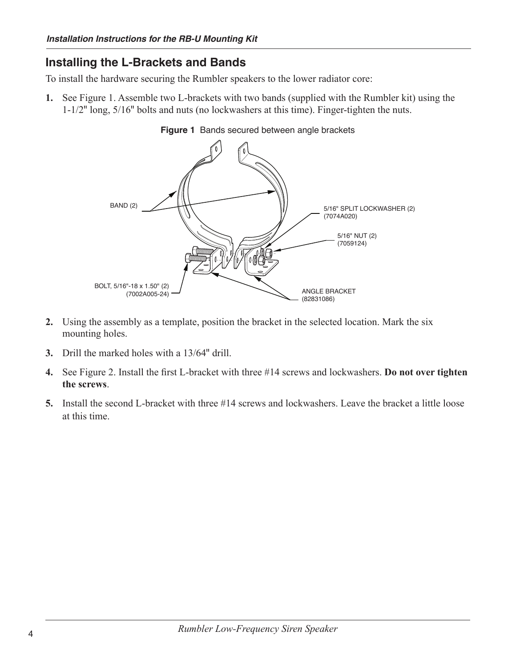## **Installing the L-Brackets and Bands**

To install the hardware securing the Rumbler speakers to the lower radiator core:

1. See Figure 1. Assemble two L-brackets with two bands (supplied with the Rumbler kit) using the  $1-1/2$ " long,  $5/16$ " bolts and nuts (no lockwashers at this time). Finger-tighten the nuts.



Figure 1 Bands secured between angle brackets

- 2. Using the assembly as a template, position the bracket in the selected location. Mark the six mounting holes.
- 3. Drill the marked holes with a 13/64" drill.
- 4. See Figure 2. Install the first L-bracket with three #14 screws and lockwashers. Do not over tighten the screws.
- 5. Install the second L-bracket with three #14 screws and lockwashers. Leave the bracket a little loose at this time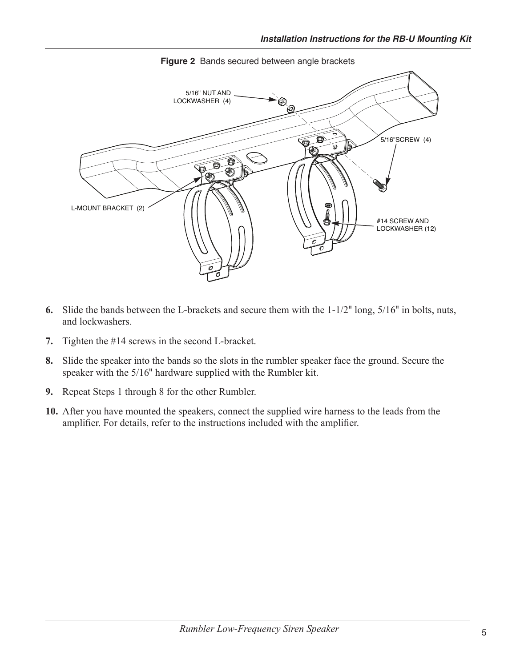

Figure 2 Bands secured between angle brackets

- 6. Slide the bands between the L-brackets and secure them with the  $1-1/2$ " long,  $5/16$ " in bolts, nuts, and lockwashers.
- 7. Tighten the #14 screws in the second L-bracket.
- 8. Slide the speaker into the bands so the slots in the rumbler speaker face the ground. Secure the speaker with the 5/16" hardware supplied with the Rumbler kit.
- 9. Repeat Steps 1 through 8 for the other Rumbler.
- 10. After you have mounted the speakers, connect the supplied wire harness to the leads from the amplifier. For details, refer to the instructions included with the amplifier.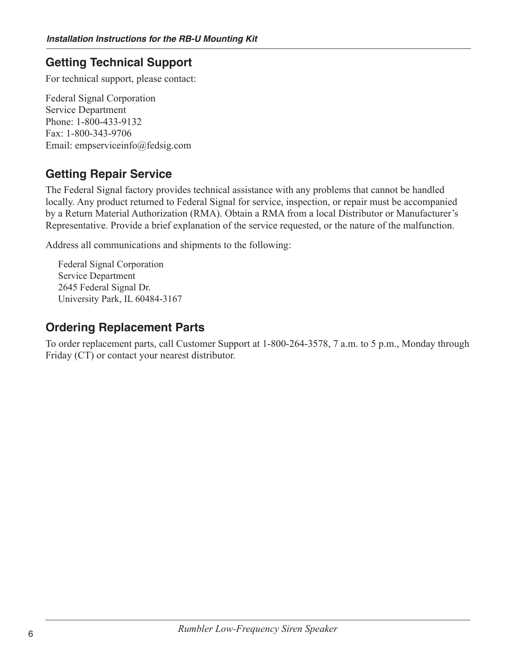## **Getting Technical Support**

For technical support, please contact:

**Federal Signal Corporation Service Department** Phone: 1-800-433-9132 Fax: 1-800-343-9706 Email: empserviceinfo@fedsig.com

## **Getting Repair Service**

The Federal Signal factory provides technical assistance with any problems that cannot be handled locally. Any product returned to Federal Signal for service, inspection, or repair must be accompanied by a Return Material Authorization (RMA). Obtain a RMA from a local Distributor or Manufacturer's Representative. Provide a brief explanation of the service requested, or the nature of the malfunction.

Address all communications and shipments to the following:

Federal Signal Corporation **Service Department** 2645 Federal Signal Dr. University Park, IL 60484-3167

## **Ordering Replacement Parts**

To order replacement parts, call Customer Support at 1-800-264-3578, 7 a.m. to 5 p.m., Monday through Friday (CT) or contact your nearest distributor.